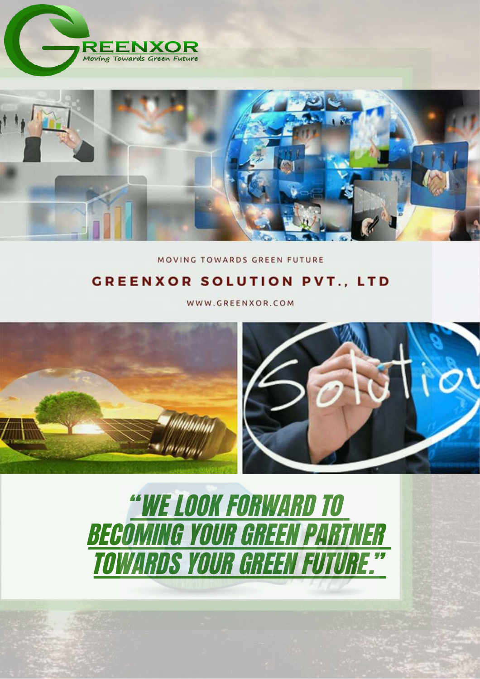



MOVING TOWARDS GREEN FUTURE

### **GREENXOR SOLUTION PVT., LTD**

WWW.GREENXOR.COM





"WE LOOK FORWARD TO BECOMING YOUR GREEN PARTNER TOWARDS YOUR GREEN FUTURE. "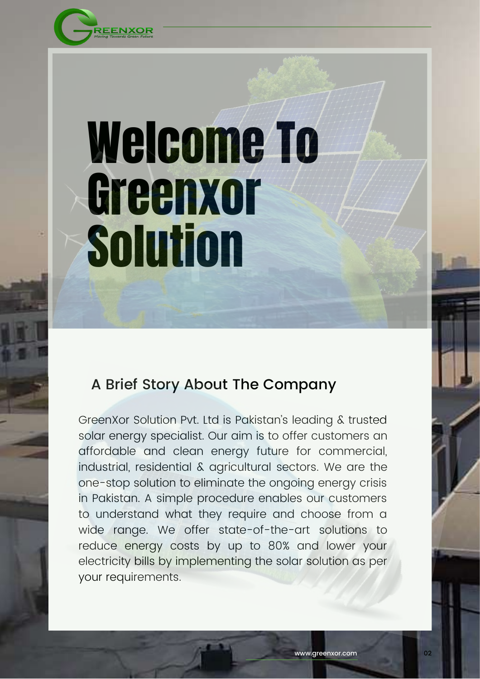

# Welcome To Greenxor **Solution**

### A Brief Story About The Company

GreenXor Solution Pvt. Ltd is Pakistan's leading & trusted solar energy specialist. Our aim is to offer customers an affordable and clean energy future for commercial, industrial, residential & agricultural sectors. We are the one-stop solution to eliminate the ongoing energy crisis in Pakistan. A simple procedure enables our customers to understand what they require and choose from a wide range. We offer state-of-the-art solutions to reduce energy costs by up to 80% and lower your electricity bills by implementing the solar solution as per your requirements.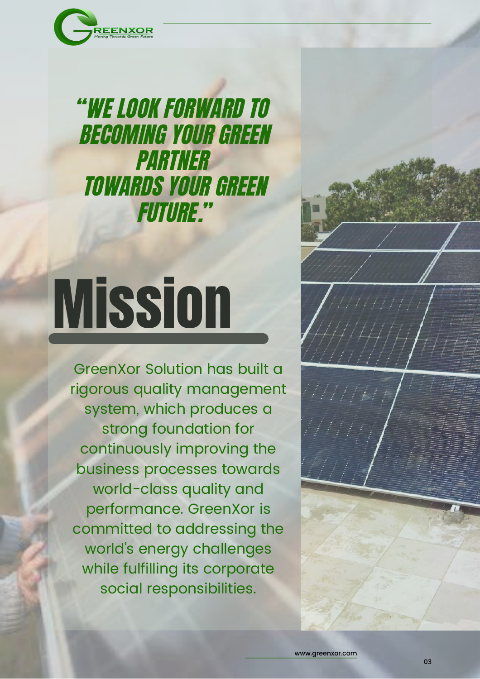

"WE LOOK FORWARD TO BECOMING YOUR GREEN PARTNER TOWARDS YOUR GREEN FUTURE."

# **Mission**

GreenXor Solution has built a rigorous quality management system, which produces a strong foundation for continuously improving the business processes towards world-class quality and performance. GreenXor is committed to addressing the world's energy challenges while fulfilling its corporate social responsibilities.

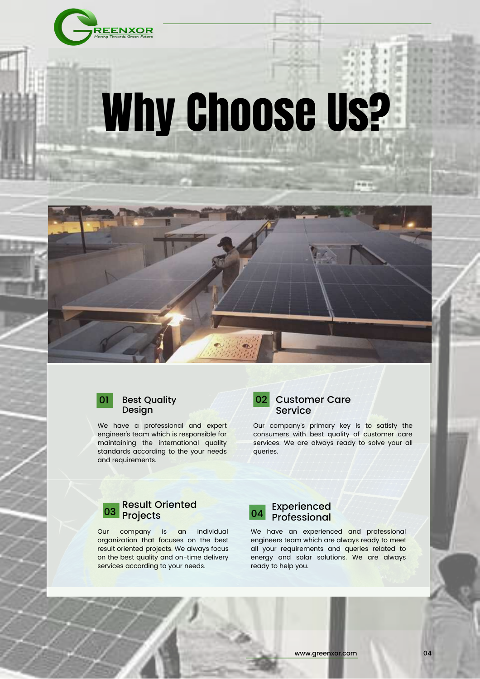

# Why Choose Us?



#### Best Quality Design

We have a professional and expert engineer's team which is responsible for maintaining the international quality standards according to the your needs and requirements.



### Customer Care Service

Our company's primary key is to satisfy the consumers with best quality of customer care services. We are always ready to solve your all queries.



Our company is an individual organization that focuses on the best result oriented projects. We always focus on the best quality and on-time delivery services according to your needs.



Experienced Professional

We have an experienced and professional engineers team which are always ready to meet all your requirements and queries related to energy and solar solutions. We are always ready to help you.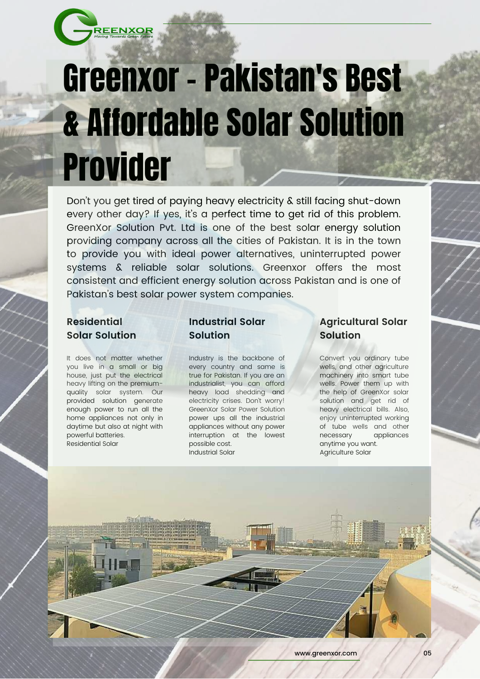

## Greenxor - Pakistan's Best & Affordable Solar Solution Provider

Don't you get tired of paying heavy electricity & still facing shut-down every other day? If yes, it's a perfect time to get rid of this problem. GreenXor Solution Pvt. Ltd is one of the best solar energy solution providing company across all the cities of Pakistan. It is in the town to provide you with ideal power alternatives, uninterrupted power systems & reliable solar solutions. Greenxor offers the most consistent and efficient energy solution across Pakistan and is one of Pakistan's best solar power system companies.

### **Residential Solar Solution**

It does not matter whether you live in a small or big house, just put the electrical heavy lifting on the premiumquality solar system. Our provided solution generate enough power to run all the home appliances not only in daytime but also at night with powerful batteries. Residential Solar

### **Industrial Solar Solution**

Industry is the backbone of every country and same is true for Pakistan. If you are an industrialist, you can afford heavy load shedding and electricity crises. Don't worry! GreenXor Solar Power Solution power ups all the industrial appliances without any power interruption at the lowest possible cost. Industrial Solar

### **Agricultural Solar Solution**

Convert you ordinary tube wells, and other agriculture machinery into smart tube wells. Power them up with the help of GreenXor solar solution and get rid of heavy electrical bills. Also, enjoy uninterrupted working of tube wells and other necessary appliances anytime you want. Agriculture Solar

www.greenxor.com 05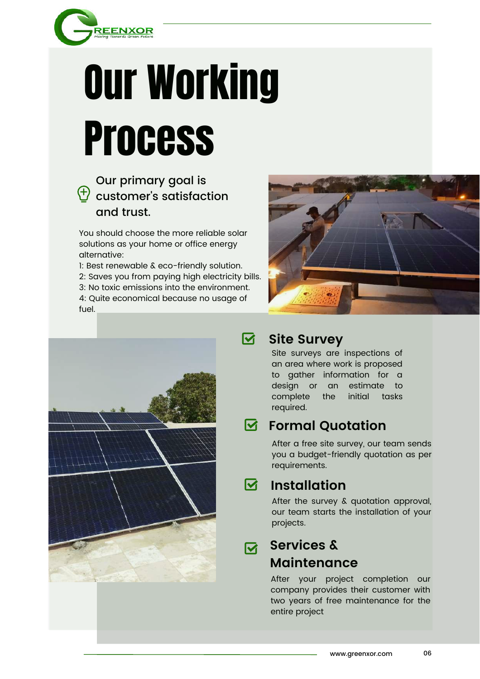

## Our Working **Process**

### Our primary goal is  $\bigoplus$  customer's satisfaction and trust.

You should choose the more reliable solar solutions as your home or office energy alternative:

1: Best renewable & eco-friendly solution. 2: Saves you from paying high electricity bills. 3: No toxic emissions into the environment. 4: Quite economical because no usage of fuel.





#### $\overline{\mathbf{M}}$ **Site Survey**

Site surveys are inspections of an area where work is proposed to gather information for a design or an estimate to complete the initial tasks required.

#### **Formal Quotation** ष्ट

After a free site survey, our team sends you a budget-friendly quotation as per requirements.

#### ष्ट **Installation**

After the survey & quotation approval, our team starts the installation of your projects.

### **Services &** <u>लि</u> **Maintenance**

After your project completion our company provides their customer with two years of free maintenance for the entire project